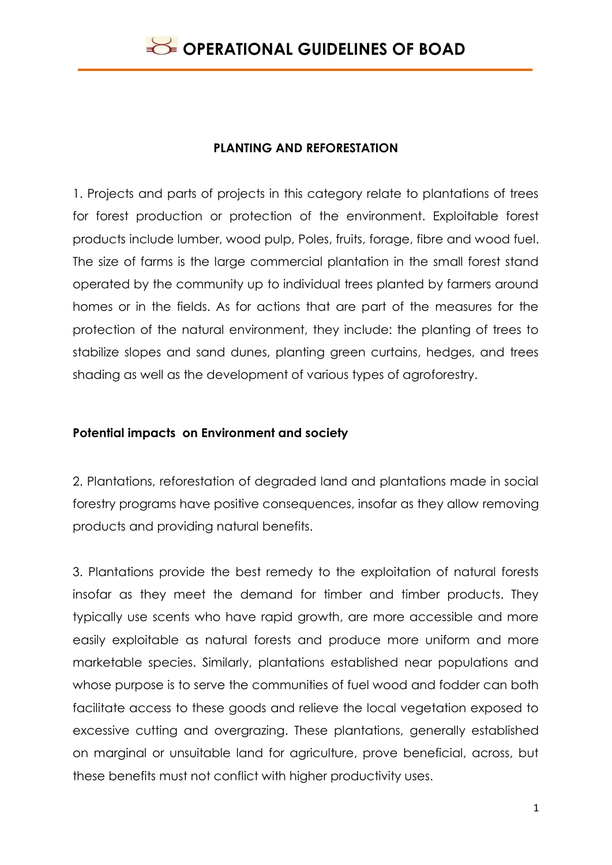### **PLANTING AND REFORESTATION**

1. Projects and parts of projects in this category relate to plantations of trees for forest production or protection of the environment. Exploitable forest products include lumber, wood pulp, Poles, fruits, forage, fibre and wood fuel. The size of farms is the large commercial plantation in the small forest stand operated by the community up to individual trees planted by farmers around homes or in the fields. As for actions that are part of the measures for the protection of the natural environment, they include: the planting of trees to stabilize slopes and sand dunes, planting green curtains, hedges, and trees shading as well as the development of various types of agroforestry.

### **Potential impacts on Environment and society**

2. Plantations, reforestation of degraded land and plantations made in social forestry programs have positive consequences, insofar as they allow removing products and providing natural benefits.

3. Plantations provide the best remedy to the exploitation of natural forests insofar as they meet the demand for timber and timber products. They typically use scents who have rapid growth, are more accessible and more easily exploitable as natural forests and produce more uniform and more marketable species. Similarly, plantations established near populations and whose purpose is to serve the communities of fuel wood and fodder can both facilitate access to these goods and relieve the local vegetation exposed to excessive cutting and overgrazing. These plantations, generally established on marginal or unsuitable land for agriculture, prove beneficial, across, but these benefits must not conflict with higher productivity uses.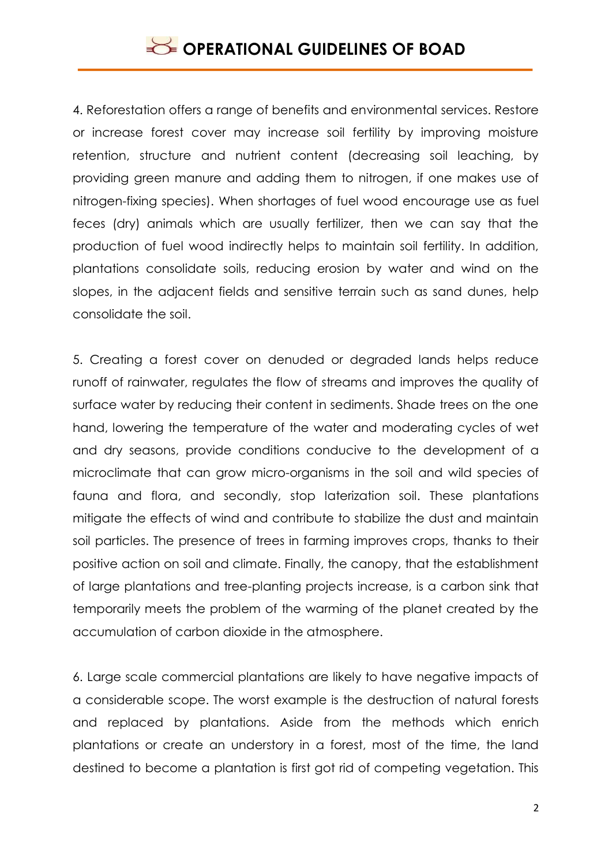4. Reforestation offers a range of benefits and environmental services. Restore or increase forest cover may increase soil fertility by improving moisture retention, structure and nutrient content (decreasing soil leaching, by providing green manure and adding them to nitrogen, if one makes use of nitrogen-fixing species). When shortages of fuel wood encourage use as fuel feces (dry) animals which are usually fertilizer, then we can say that the production of fuel wood indirectly helps to maintain soil fertility. In addition, plantations consolidate soils, reducing erosion by water and wind on the slopes, in the adjacent fields and sensitive terrain such as sand dunes, help consolidate the soil.

5. Creating a forest cover on denuded or degraded lands helps reduce runoff of rainwater, regulates the flow of streams and improves the quality of surface water by reducing their content in sediments. Shade trees on the one hand, lowering the temperature of the water and moderating cycles of wet and dry seasons, provide conditions conducive to the development of a microclimate that can grow micro-organisms in the soil and wild species of fauna and flora, and secondly, stop laterization soil. These plantations mitigate the effects of wind and contribute to stabilize the dust and maintain soil particles. The presence of trees in farming improves crops, thanks to their positive action on soil and climate. Finally, the canopy, that the establishment of large plantations and tree-planting projects increase, is a carbon sink that temporarily meets the problem of the warming of the planet created by the accumulation of carbon dioxide in the atmosphere.

6. Large scale commercial plantations are likely to have negative impacts of a considerable scope. The worst example is the destruction of natural forests and replaced by plantations. Aside from the methods which enrich plantations or create an understory in a forest, most of the time, the land destined to become a plantation is first got rid of competing vegetation. This

2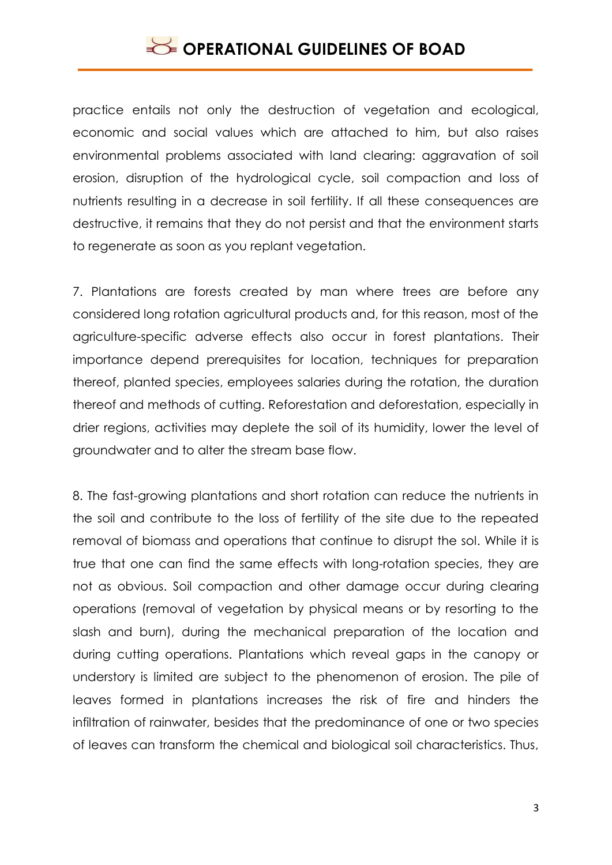practice entails not only the destruction of vegetation and ecological, economic and social values which are attached to him, but also raises environmental problems associated with land clearing: aggravation of soil erosion, disruption of the hydrological cycle, soil compaction and loss of nutrients resulting in a decrease in soil fertility. If all these consequences are destructive, it remains that they do not persist and that the environment starts to regenerate as soon as you replant vegetation.

7. Plantations are forests created by man where trees are before any considered long rotation agricultural products and, for this reason, most of the agriculture-specific adverse effects also occur in forest plantations. Their importance depend prerequisites for location, techniques for preparation thereof, planted species, employees salaries during the rotation, the duration thereof and methods of cutting. Reforestation and deforestation, especially in drier regions, activities may deplete the soil of its humidity, lower the level of groundwater and to alter the stream base flow.

8. The fast-growing plantations and short rotation can reduce the nutrients in the soil and contribute to the loss of fertility of the site due to the repeated removal of biomass and operations that continue to disrupt the sol. While it is true that one can find the same effects with long-rotation species, they are not as obvious. Soil compaction and other damage occur during clearing operations (removal of vegetation by physical means or by resorting to the slash and burn), during the mechanical preparation of the location and during cutting operations. Plantations which reveal gaps in the canopy or understory is limited are subject to the phenomenon of erosion. The pile of leaves formed in plantations increases the risk of fire and hinders the infiltration of rainwater, besides that the predominance of one or two species of leaves can transform the chemical and biological soil characteristics. Thus,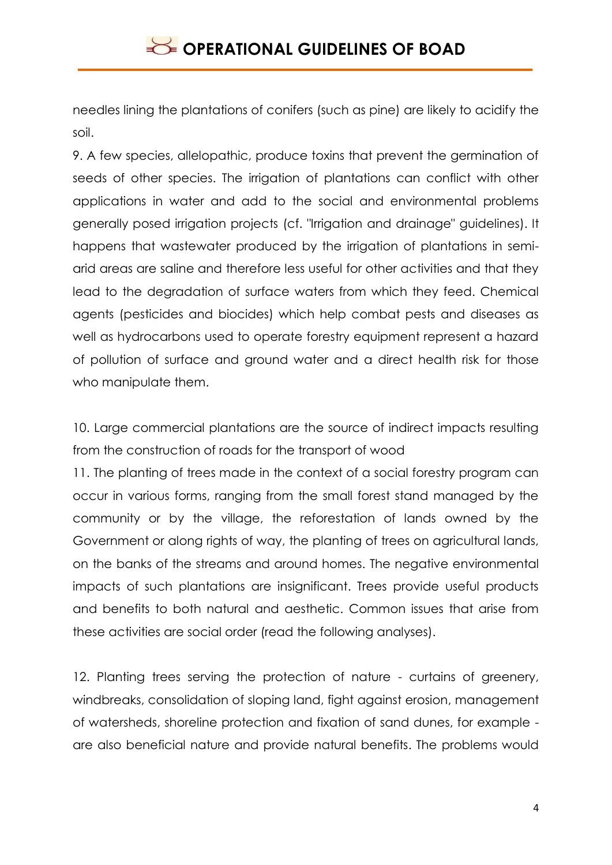needles lining the plantations of conifers (such as pine) are likely to acidify the soil.

9. A few species, allelopathic, produce toxins that prevent the germination of seeds of other species. The irrigation of plantations can conflict with other applications in water and add to the social and environmental problems generally posed irrigation projects (cf. "Irrigation and drainage" guidelines). It happens that wastewater produced by the irrigation of plantations in semiarid areas are saline and therefore less useful for other activities and that they lead to the degradation of surface waters from which they feed. Chemical agents (pesticides and biocides) which help combat pests and diseases as well as hydrocarbons used to operate forestry equipment represent a hazard of pollution of surface and ground water and a direct health risk for those who manipulate them.

10. Large commercial plantations are the source of indirect impacts resulting from the construction of roads for the transport of wood

11. The planting of trees made in the context of a social forestry program can occur in various forms, ranging from the small forest stand managed by the community or by the village, the reforestation of lands owned by the Government or along rights of way, the planting of trees on agricultural lands, on the banks of the streams and around homes. The negative environmental impacts of such plantations are insignificant. Trees provide useful products and benefits to both natural and aesthetic. Common issues that arise from these activities are social order (read the following analyses).

12. Planting trees serving the protection of nature - curtains of greenery, windbreaks, consolidation of sloping land, fight against erosion, management of watersheds, shoreline protection and fixation of sand dunes, for example are also beneficial nature and provide natural benefits. The problems would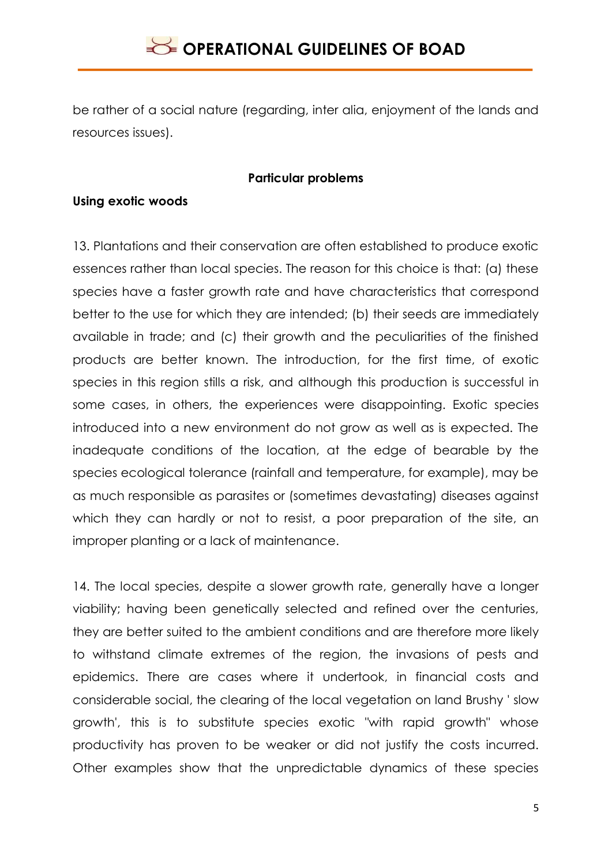be rather of a social nature (regarding, inter alia, enjoyment of the lands and resources issues).

#### **Particular problems**

#### **Using exotic woods**

13. Plantations and their conservation are often established to produce exotic essences rather than local species. The reason for this choice is that: (a) these species have a faster growth rate and have characteristics that correspond better to the use for which they are intended; (b) their seeds are immediately available in trade; and (c) their growth and the peculiarities of the finished products are better known. The introduction, for the first time, of exotic species in this region stills a risk, and although this production is successful in some cases, in others, the experiences were disappointing. Exotic species introduced into a new environment do not grow as well as is expected. The inadequate conditions of the location, at the edge of bearable by the species ecological tolerance (rainfall and temperature, for example), may be as much responsible as parasites or (sometimes devastating) diseases against which they can hardly or not to resist, a poor preparation of the site, an improper planting or a lack of maintenance.

14. The local species, despite a slower growth rate, generally have a longer viability; having been genetically selected and refined over the centuries, they are better suited to the ambient conditions and are therefore more likely to withstand climate extremes of the region, the invasions of pests and epidemics. There are cases where it undertook, in financial costs and considerable social, the clearing of the local vegetation on land Brushy ' slow growth', this is to substitute species exotic "with rapid growth" whose productivity has proven to be weaker or did not justify the costs incurred. Other examples show that the unpredictable dynamics of these species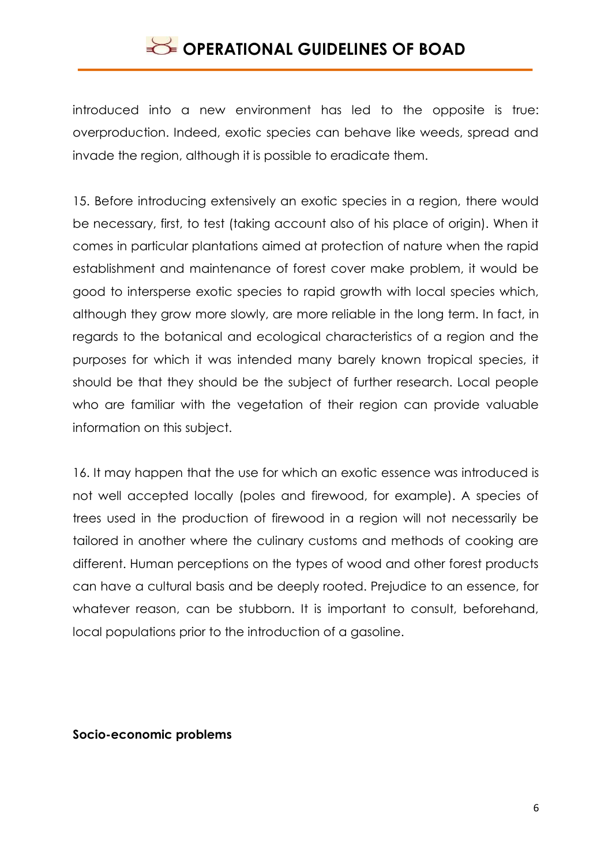introduced into a new environment has led to the opposite is true: overproduction. Indeed, exotic species can behave like weeds, spread and invade the region, although it is possible to eradicate them.

15. Before introducing extensively an exotic species in a region, there would be necessary, first, to test (taking account also of his place of origin). When it comes in particular plantations aimed at protection of nature when the rapid establishment and maintenance of forest cover make problem, it would be good to intersperse exotic species to rapid growth with local species which, although they grow more slowly, are more reliable in the long term. In fact, in regards to the botanical and ecological characteristics of a region and the purposes for which it was intended many barely known tropical species, it should be that they should be the subject of further research. Local people who are familiar with the vegetation of their region can provide valuable information on this subject.

16. It may happen that the use for which an exotic essence was introduced is not well accepted locally (poles and firewood, for example). A species of trees used in the production of firewood in a region will not necessarily be tailored in another where the culinary customs and methods of cooking are different. Human perceptions on the types of wood and other forest products can have a cultural basis and be deeply rooted. Prejudice to an essence, for whatever reason, can be stubborn. It is important to consult, beforehand, local populations prior to the introduction of a gasoline.

#### **Socio-economic problems**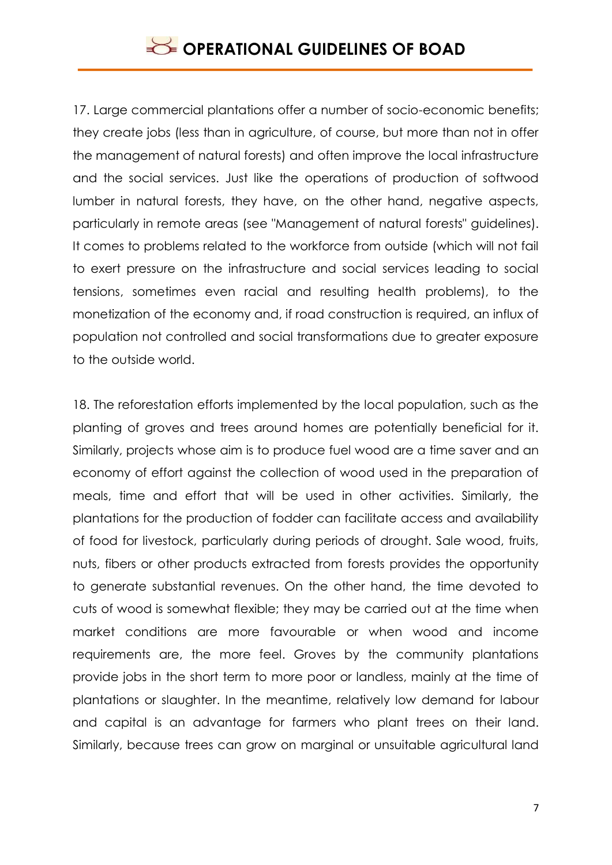17. Large commercial plantations offer a number of socio-economic benefits; they create jobs (less than in agriculture, of course, but more than not in offer the management of natural forests) and often improve the local infrastructure and the social services. Just like the operations of production of softwood lumber in natural forests, they have, on the other hand, negative aspects, particularly in remote areas (see "Management of natural forests" guidelines). It comes to problems related to the workforce from outside (which will not fail to exert pressure on the infrastructure and social services leading to social tensions, sometimes even racial and resulting health problems), to the monetization of the economy and, if road construction is required, an influx of population not controlled and social transformations due to greater exposure to the outside world.

18. The reforestation efforts implemented by the local population, such as the planting of groves and trees around homes are potentially beneficial for it. Similarly, projects whose aim is to produce fuel wood are a time saver and an economy of effort against the collection of wood used in the preparation of meals, time and effort that will be used in other activities. Similarly, the plantations for the production of fodder can facilitate access and availability of food for livestock, particularly during periods of drought. Sale wood, fruits, nuts, fibers or other products extracted from forests provides the opportunity to generate substantial revenues. On the other hand, the time devoted to cuts of wood is somewhat flexible; they may be carried out at the time when market conditions are more favourable or when wood and income requirements are, the more feel. Groves by the community plantations provide jobs in the short term to more poor or landless, mainly at the time of plantations or slaughter. In the meantime, relatively low demand for labour and capital is an advantage for farmers who plant trees on their land. Similarly, because trees can grow on marginal or unsuitable agricultural land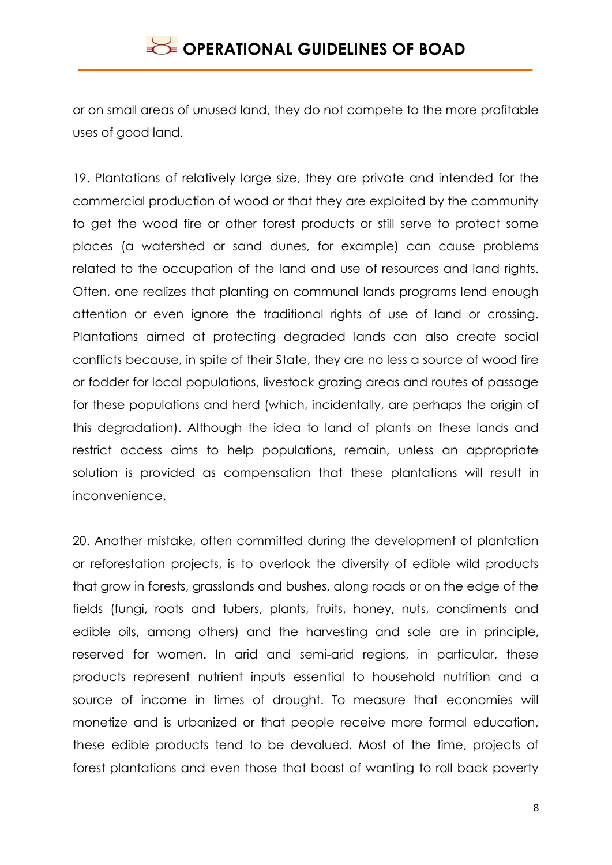or on small areas of unused land, they do not compete to the more profitable uses of good land.

19. Plantations of relatively large size, they are private and intended for the commercial production of wood or that they are exploited by the community to get the wood fire or other forest products or still serve to protect some places (a watershed or sand dunes, for example) can cause problems related to the occupation of the land and use of resources and land rights. Often, one realizes that planting on communal lands programs lend enough attention or even ignore the traditional rights of use of land or crossing. Plantations aimed at protecting degraded lands can also create social conflicts because, in spite of their State, they are no less a source of wood fire or fodder for local populations, livestock grazing areas and routes of passage for these populations and herd (which, incidentally, are perhaps the origin of this degradation). Although the idea to land of plants on these lands and restrict access aims to help populations, remain, unless an appropriate solution is provided as compensation that these plantations will result in inconvenience.

20. Another mistake, often committed during the development of plantation or reforestation projects, is to overlook the diversity of edible wild products that grow in forests, grasslands and bushes, along roads or on the edge of the fields (fungi, roots and tubers, plants, fruits, honey, nuts, condiments and edible oils, among others) and the harvesting and sale are in principle, reserved for women. In arid and semi-arid regions, in particular, these products represent nutrient inputs essential to household nutrition and a source of income in times of drought. To measure that economies will monetize and is urbanized or that people receive more formal education, these edible products tend to be devalued. Most of the time, projects of forest plantations and even those that boast of wanting to roll back poverty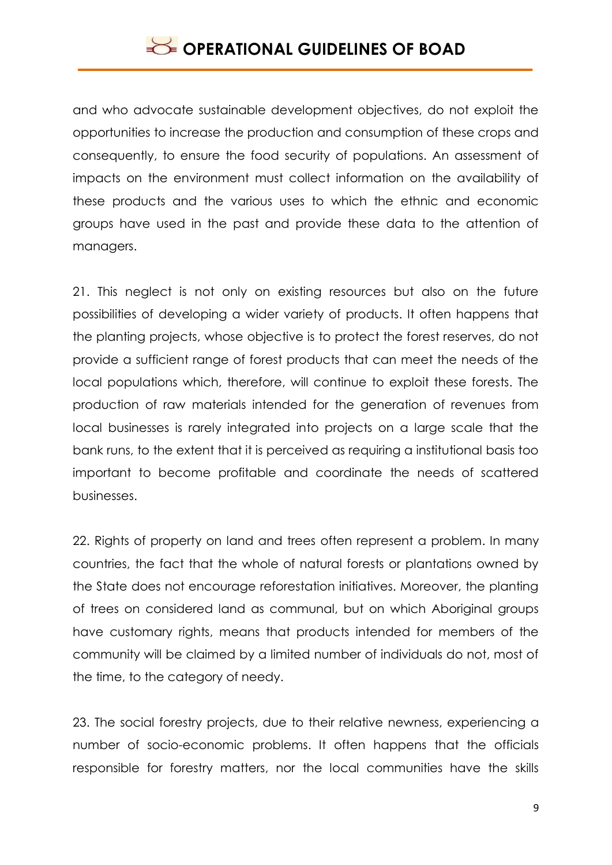and who advocate sustainable development objectives, do not exploit the opportunities to increase the production and consumption of these crops and consequently, to ensure the food security of populations. An assessment of impacts on the environment must collect information on the availability of these products and the various uses to which the ethnic and economic groups have used in the past and provide these data to the attention of managers.

21. This neglect is not only on existing resources but also on the future possibilities of developing a wider variety of products. It often happens that the planting projects, whose objective is to protect the forest reserves, do not provide a sufficient range of forest products that can meet the needs of the local populations which, therefore, will continue to exploit these forests. The production of raw materials intended for the generation of revenues from local businesses is rarely integrated into projects on a large scale that the bank runs, to the extent that it is perceived as requiring a institutional basis too important to become profitable and coordinate the needs of scattered businesses.

22. Rights of property on land and trees often represent a problem. In many countries, the fact that the whole of natural forests or plantations owned by the State does not encourage reforestation initiatives. Moreover, the planting of trees on considered land as communal, but on which Aboriginal groups have customary rights, means that products intended for members of the community will be claimed by a limited number of individuals do not, most of the time, to the category of needy.

23. The social forestry projects, due to their relative newness, experiencing a number of socio-economic problems. It often happens that the officials responsible for forestry matters, nor the local communities have the skills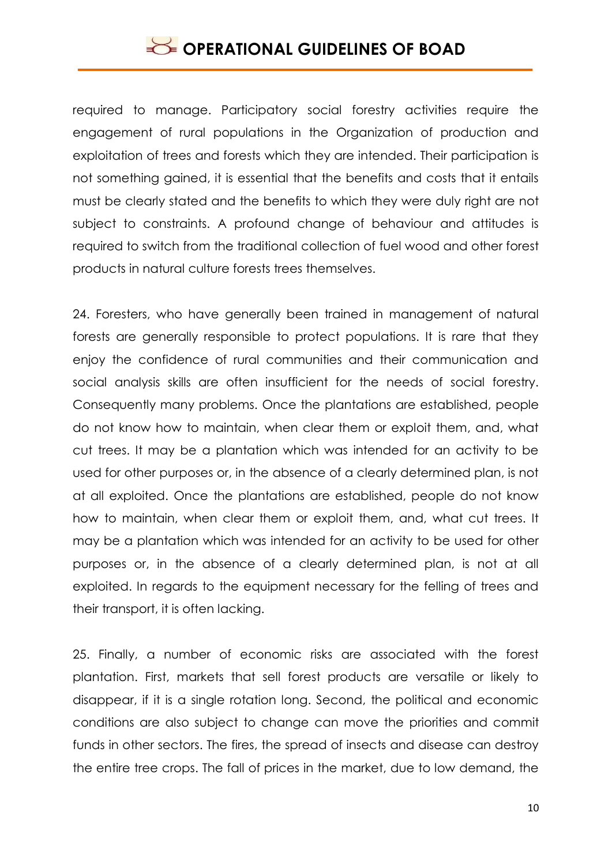required to manage. Participatory social forestry activities require the engagement of rural populations in the Organization of production and exploitation of trees and forests which they are intended. Their participation is not something gained, it is essential that the benefits and costs that it entails must be clearly stated and the benefits to which they were duly right are not subject to constraints. A profound change of behaviour and attitudes is required to switch from the traditional collection of fuel wood and other forest products in natural culture forests trees themselves.

24. Foresters, who have generally been trained in management of natural forests are generally responsible to protect populations. It is rare that they enjoy the confidence of rural communities and their communication and social analysis skills are often insufficient for the needs of social forestry. Consequently many problems. Once the plantations are established, people do not know how to maintain, when clear them or exploit them, and, what cut trees. It may be a plantation which was intended for an activity to be used for other purposes or, in the absence of a clearly determined plan, is not at all exploited. Once the plantations are established, people do not know how to maintain, when clear them or exploit them, and, what cut trees. It may be a plantation which was intended for an activity to be used for other purposes or, in the absence of a clearly determined plan, is not at all exploited. In regards to the equipment necessary for the felling of trees and their transport, it is often lacking.

25. Finally, a number of economic risks are associated with the forest plantation. First, markets that sell forest products are versatile or likely to disappear, if it is a single rotation long. Second, the political and economic conditions are also subject to change can move the priorities and commit funds in other sectors. The fires, the spread of insects and disease can destroy the entire tree crops. The fall of prices in the market, due to low demand, the

10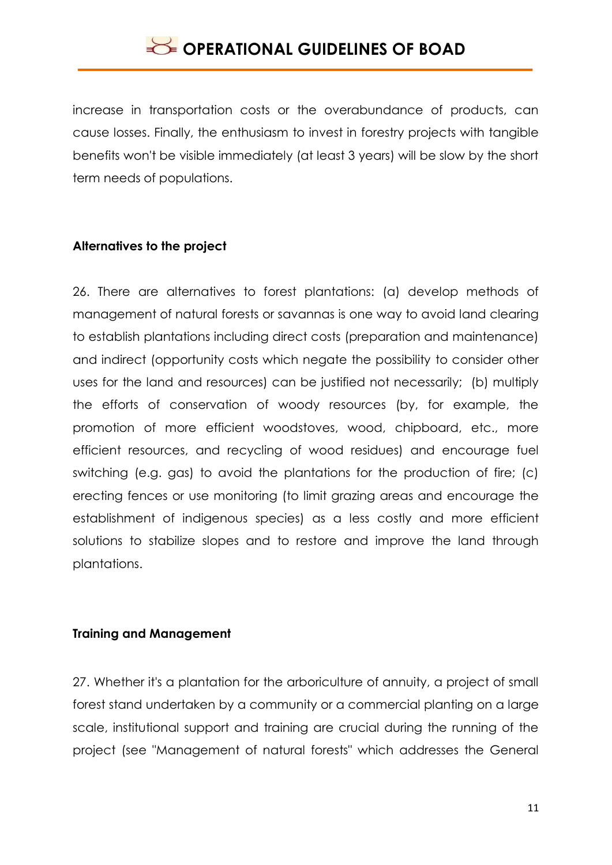increase in transportation costs or the overabundance of products, can cause losses. Finally, the enthusiasm to invest in forestry projects with tangible benefits won't be visible immediately (at least 3 years) will be slow by the short term needs of populations.

### **Alternatives to the project**

26. There are alternatives to forest plantations: (a) develop methods of management of natural forests or savannas is one way to avoid land clearing to establish plantations including direct costs (preparation and maintenance) and indirect (opportunity costs which negate the possibility to consider other uses for the land and resources) can be justified not necessarily; (b) multiply the efforts of conservation of woody resources (by, for example, the promotion of more efficient woodstoves, wood, chipboard, etc., more efficient resources, and recycling of wood residues) and encourage fuel switching (e.g. gas) to avoid the plantations for the production of fire; (c) erecting fences or use monitoring (to limit grazing areas and encourage the establishment of indigenous species) as a less costly and more efficient solutions to stabilize slopes and to restore and improve the land through plantations.

### **Training and Management**

27. Whether it's a plantation for the arboriculture of annuity, a project of small forest stand undertaken by a community or a commercial planting on a large scale, institutional support and training are crucial during the running of the project (see "Management of natural forests" which addresses the General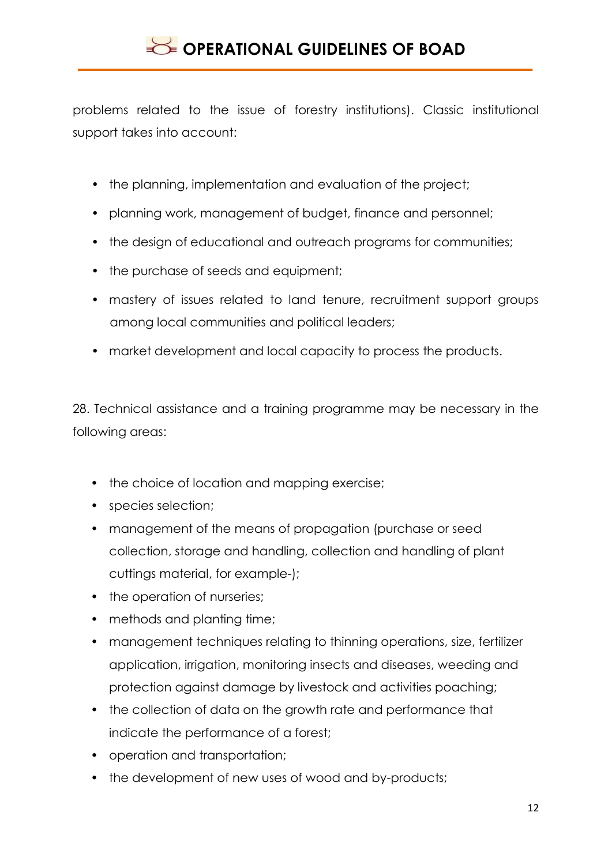problems related to the issue of forestry institutions). Classic institutional support takes into account:

- the planning, implementation and evaluation of the project;
- planning work, management of budget, finance and personnel;
- the design of educational and outreach programs for communities;
- the purchase of seeds and equipment;
- mastery of issues related to land tenure, recruitment support groups among local communities and political leaders;
- market development and local capacity to process the products.

28. Technical assistance and a training programme may be necessary in the following areas:

- the choice of location and mapping exercise;
- species selection;
- management of the means of propagation (purchase or seed collection, storage and handling, collection and handling of plant cuttings material, for example-);
- the operation of nurseries;
- methods and planting time;
- management techniques relating to thinning operations, size, fertilizer application, irrigation, monitoring insects and diseases, weeding and protection against damage by livestock and activities poaching;
- the collection of data on the growth rate and performance that indicate the performance of a forest;
- operation and transportation;
- the development of new uses of wood and by-products;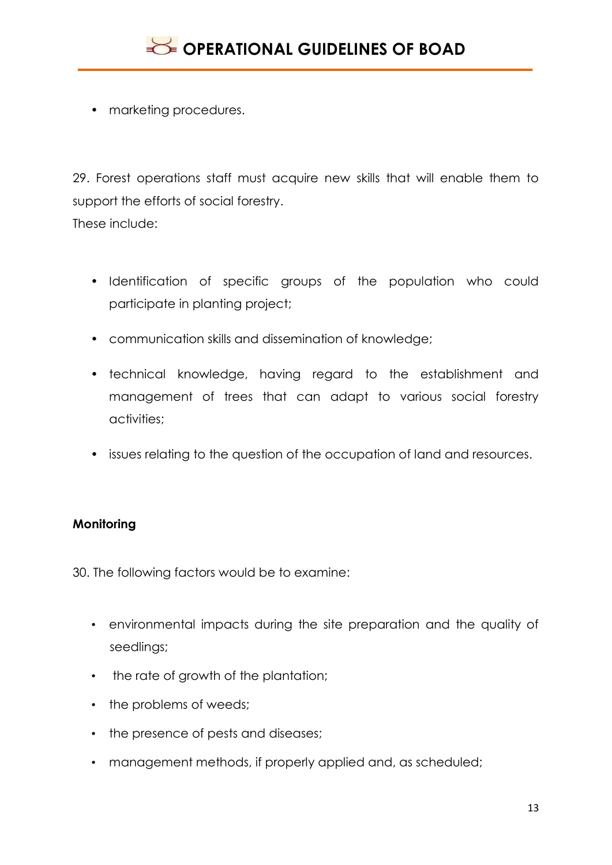• marketing procedures.

29. Forest operations staff must acquire new skills that will enable them to support the efforts of social forestry.

These include:

- Identification of specific groups of the population who could participate in planting project;
- communication skills and dissemination of knowledge;
- technical knowledge, having regard to the establishment and management of trees that can adapt to various social forestry activities;
- issues relating to the question of the occupation of land and resources.

### **Monitoring**

30. The following factors would be to examine:

- environmental impacts during the site preparation and the quality of seedlings;
- the rate of growth of the plantation;
- the problems of weeds:
- the presence of pests and diseases;
- management methods, if properly applied and, as scheduled;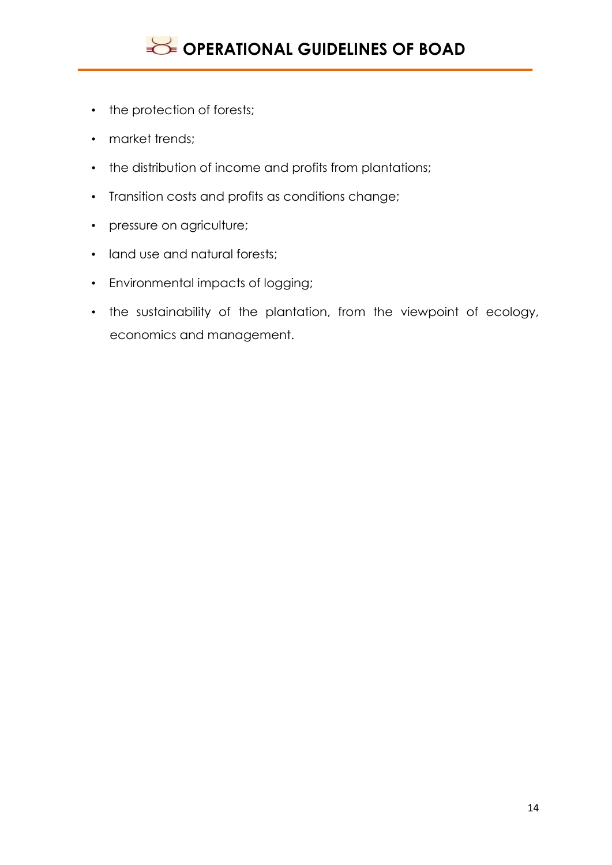

- the protection of forests;
- market trends;
- the distribution of income and profits from plantations;
- Transition costs and profits as conditions change;
- pressure on agriculture;
- land use and natural forests;
- Environmental impacts of logging;
- the sustainability of the plantation, from the viewpoint of ecology, economics and management.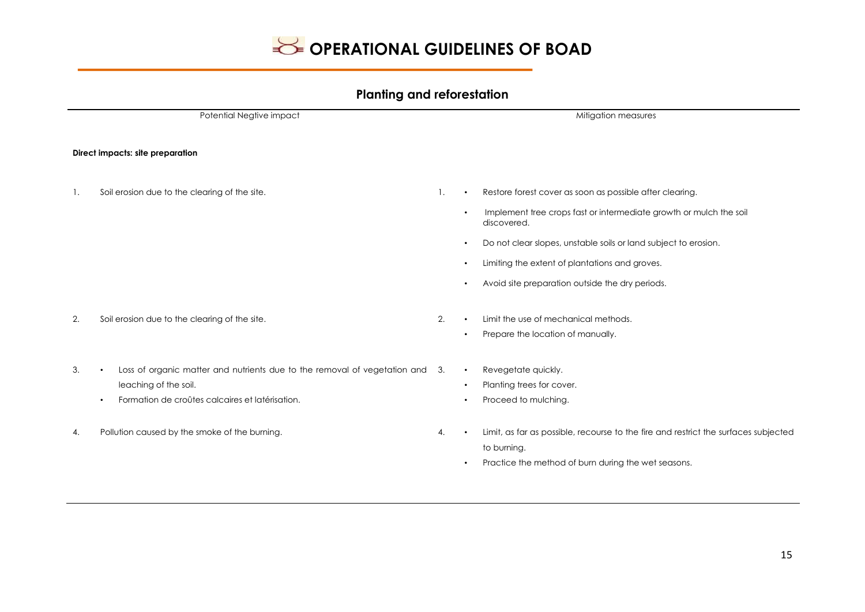

#### **Planting and reforestation**

Potential Negtive impact **Mitigation measures** Mitigation measures **Direct impacts: site preparation** 1. Soil erosion due to the clearing of the site. 1. • Restore forest cover as soon as possible after clearing. • Implement tree crops fast or intermediate growth or mulch the soil discovered. • Do not clear slopes, unstable soils or land subject to erosion. • Limiting the extent of plantations and groves. • Avoid site preparation outside the dry periods. 2. Soil erosion due to the clearing of the site. 2. **2.** • Limit the use of mechanical methods. • Prepare the location of manually. 3. • Loss of organic matter and nutrients due to the removal of vegetation and 3. leaching of the soil. • Formation de croûtes calcaires et latérisation. • Revegetate quickly. • Planting trees for cover. • Proceed to mulching. 4. Pollution caused by the smoke of the burning.  $\blacksquare$  4.  $\blacksquare$  + Limit, as far as possible, recourse to the fire and restrict the surfaces subjected to burning. • Practice the method of burn during the wet seasons.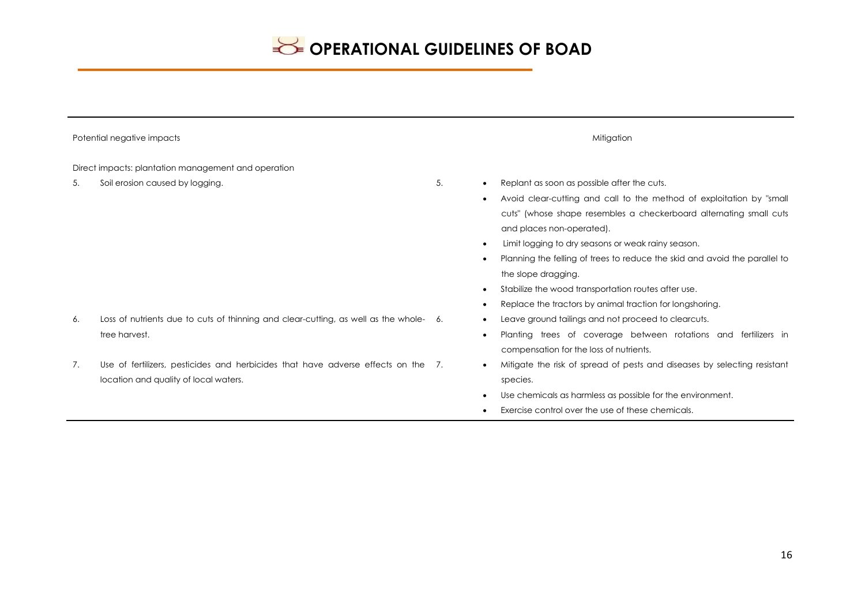| Potential negative impacts                                                                                                       | Mitigation                                                                                                                                                                                                                                                                                                                                                                                                                                                                                                              |  |  |  |
|----------------------------------------------------------------------------------------------------------------------------------|-------------------------------------------------------------------------------------------------------------------------------------------------------------------------------------------------------------------------------------------------------------------------------------------------------------------------------------------------------------------------------------------------------------------------------------------------------------------------------------------------------------------------|--|--|--|
| Direct impacts: plantation management and operation                                                                              |                                                                                                                                                                                                                                                                                                                                                                                                                                                                                                                         |  |  |  |
| Soil erosion caused by logging.<br>5.                                                                                            | 5.<br>Replant as soon as possible after the cuts.<br>$\bullet$<br>Avoid clear-cutting and call to the method of exploitation by "small<br>cuts" (whose shape resembles a checkerboard alternating small cuts<br>and places non-operated).<br>Limit logging to dry seasons or weak rainy season.<br>Planning the felling of trees to reduce the skid and avoid the parallel to<br>the slope dragging.<br>Stabilize the wood transportation routes after use.<br>Replace the tractors by animal traction for longshoring. |  |  |  |
| Loss of nutrients due to cuts of thinning and clear-cutting, as well as the whole- 6.<br>6.<br>tree harvest.                     | Leave ground tailings and not proceed to clearcuts.<br>Planting trees of coverage between rotations and fertilizers in<br>compensation for the loss of nutrients.                                                                                                                                                                                                                                                                                                                                                       |  |  |  |
| Use of fertilizers, pesticides and herbicides that have adverse effects on the 7.<br>7.<br>location and quality of local waters. | Mitigate the risk of spread of pests and diseases by selecting resistant<br>species.<br>Use chemicals as harmless as possible for the environment.<br>Exercise control over the use of these chemicals.                                                                                                                                                                                                                                                                                                                 |  |  |  |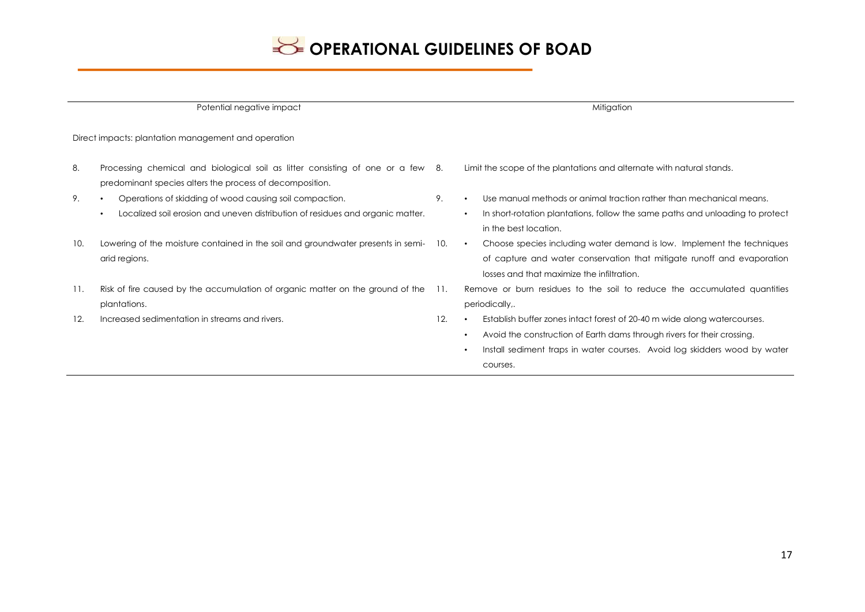

| Potential negative impact                           |                                                                                                                                                                     |      | Mitigation                                                                                                                                                                                                                                                             |  |
|-----------------------------------------------------|---------------------------------------------------------------------------------------------------------------------------------------------------------------------|------|------------------------------------------------------------------------------------------------------------------------------------------------------------------------------------------------------------------------------------------------------------------------|--|
| Direct impacts: plantation management and operation |                                                                                                                                                                     |      |                                                                                                                                                                                                                                                                        |  |
| 8.                                                  | Processing chemical and biological soil as litter consisting of one or a few 8.<br>predominant species alters the process of decomposition.                         |      | Limit the scope of the plantations and alternate with natural stands.                                                                                                                                                                                                  |  |
| 9.                                                  | Operations of skidding of wood causing soil compaction.<br>$\bullet$<br>Localized soil erosion and uneven distribution of residues and organic matter.<br>$\bullet$ | 9.   | Use manual methods or animal traction rather than mechanical means.<br>In short-rotation plantations, follow the same paths and unloading to protect<br>$\bullet$<br>in the best location.                                                                             |  |
| 10.                                                 | Lowering of the moisture contained in the soil and groundwater presents in semi-<br>arid regions.                                                                   | 10.  | Choose species including water demand is low. Implement the techniques<br>$\bullet$<br>of capture and water conservation that mitigate runoff and evaporation<br>losses and that maximize the infiltration.                                                            |  |
| 11.                                                 | Risk of fire caused by the accumulation of organic matter on the ground of the<br>plantations.                                                                      | -11. | Remove or burn residues to the soil to reduce the accumulated quantities<br>periodically,.                                                                                                                                                                             |  |
| 12.                                                 | Increased sedimentation in streams and rivers.                                                                                                                      | 12.  | Establish buffer zones intact forest of 20-40 m wide along watercourses.<br>Avoid the construction of Earth dams through rivers for their crossing.<br>$\bullet$<br>Install sediment traps in water courses. Avoid log skidders wood by water<br>$\bullet$<br>courses. |  |